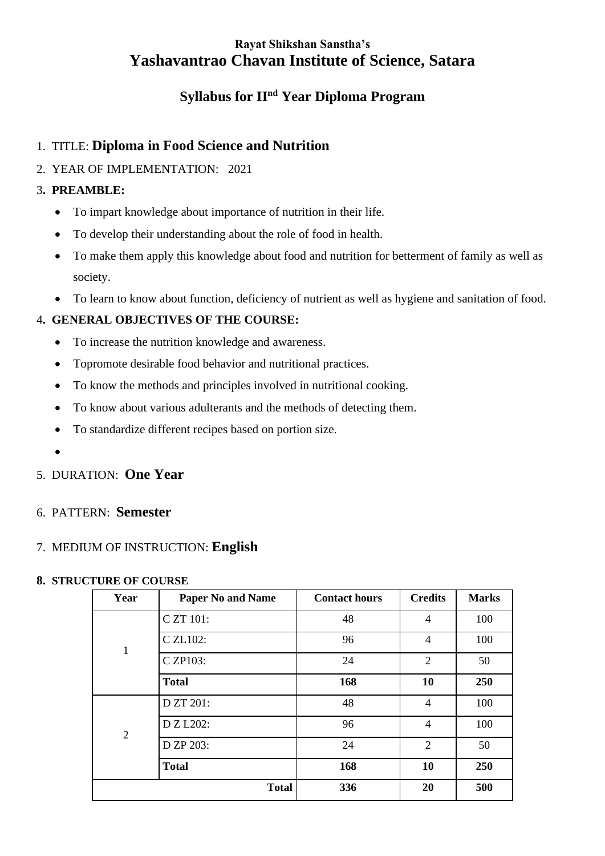# **Rayat Shikshan Sanstha's Yashavantrao Chavan Institute of Science, Satara**

# **Syllabus for IInd Year Diploma Program**

# 1. TITLE: **Diploma in Food Science and Nutrition**

# 2. YEAR OF IMPLEMENTATION: 2021

# 3**. PREAMBLE:**

- To impart knowledge about importance of nutrition in their life.
- To develop their understanding about the role of food in health.
- To make them apply this knowledge about food and nutrition for betterment of family as well as society.
- To learn to know about function, deficiency of nutrient as well as hygiene and sanitation of food.

# 4**. GENERAL OBJECTIVES OF THE COURSE:**

- To increase the nutrition knowledge and awareness.
- Topromote desirable food behavior and nutritional practices.
- To know the methods and principles involved in nutritional cooking.
- To know about various adulterants and the methods of detecting them.
- To standardize different recipes based on portion size.
- •

# 5. DURATION: **One Year**

# 6. PATTERN: **Semester**

# 7. MEDIUM OF INSTRUCTION: **English**

# **8. STRUCTURE OF COURSE**

| Year           | <b>Paper No and Name</b> | <b>Contact hours</b> | <b>Credits</b> | <b>Marks</b> |
|----------------|--------------------------|----------------------|----------------|--------------|
| $\mathbf{1}$   | C ZT 101:                | 48                   | 4              | 100          |
|                | C ZL102:                 | 96                   | $\overline{4}$ | 100          |
|                | C ZP103:                 | 24                   | $\overline{2}$ | 50           |
|                | <b>Total</b>             | 168                  | 10             | 250          |
| $\overline{2}$ | D ZT 201:                | 48                   | $\overline{4}$ | 100          |
|                | D Z L202:                | 96                   | $\overline{4}$ | 100          |
|                | D ZP 203:                | 24                   | 2              | 50           |
|                | <b>Total</b>             | 168                  | 10             | 250          |
|                | <b>Total</b>             | 336                  | 20             | 500          |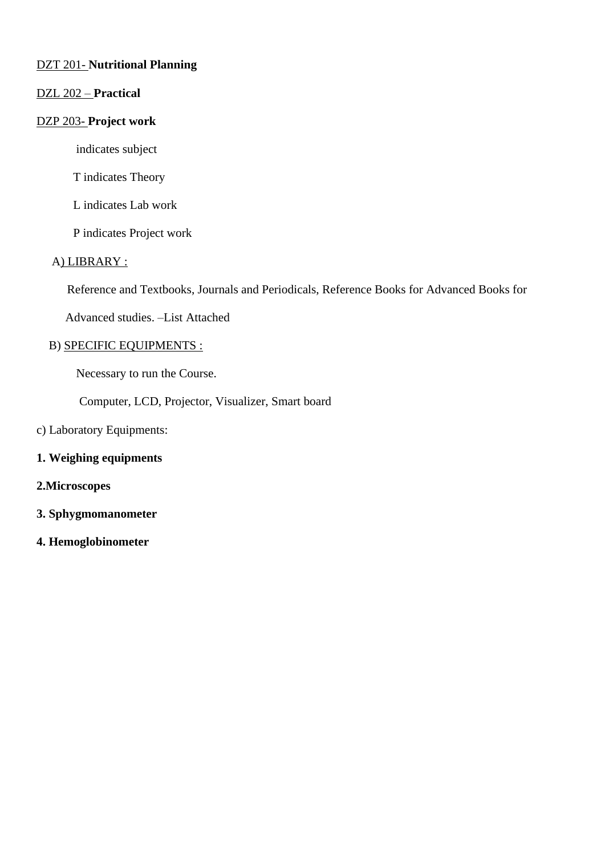# DZT 201- **Nutritional Planning**

# DZL 202 – **Practical**

### DZP 203- **Project work**

indicates subject

T indicates Theory

L indicates Lab work

P indicates Project work

### A) LIBRARY :

Reference and Textbooks, Journals and Periodicals, Reference Books for Advanced Books for

Advanced studies. –List Attached

### B) SPECIFIC EQUIPMENTS :

Necessary to run the Course.

Computer, LCD, Projector, Visualizer, Smart board

# c) Laboratory Equipments:

#### **1. Weighing equipments**

### **2.Microscopes**

- **3. Sphygmomanometer**
- **4. Hemoglobinometer**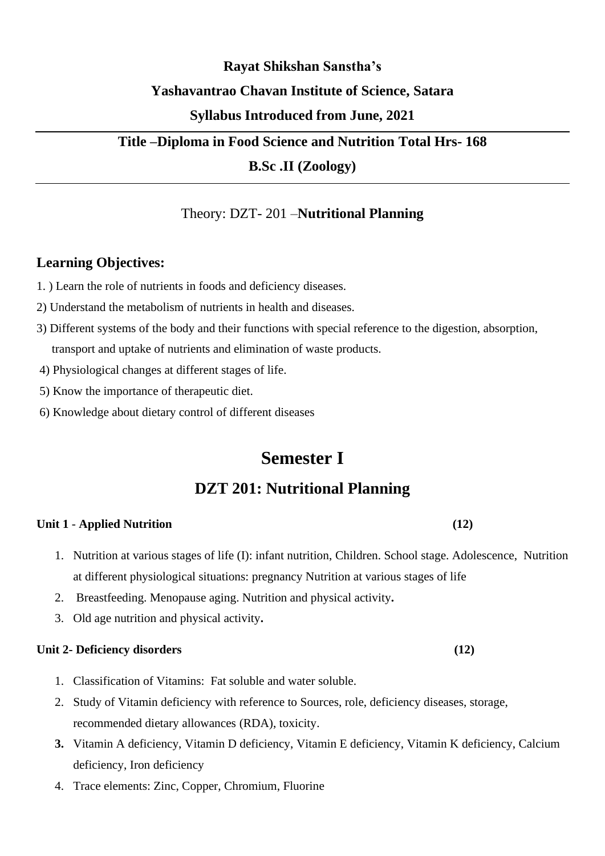# **Rayat Shikshan Sanstha's Yashavantrao Chavan Institute of Science, Satara**

# **Syllabus Introduced from June, 2021**

# **Title –Diploma in Food Science and Nutrition Total Hrs- 168**

**B.Sc .II (Zoology)**

# Theory: DZT- 201 –**Nutritional Planning**

# **Learning Objectives:**

- 1. ) Learn the role of nutrients in foods and deficiency diseases.
- 2) Understand the metabolism of nutrients in health and diseases.
- 3) Different systems of the body and their functions with special reference to the digestion, absorption, transport and uptake of nutrients and elimination of waste products.
- 4) Physiological changes at different stages of life.
- 5) Know the importance of therapeutic diet.
- 6) Knowledge about dietary control of different diseases

# **Semester I**

# **DZT 201: Nutritional Planning**

# **Unit 1** - **Applied Nutrition (12)**

- 1. Nutrition at various stages of life (I): infant nutrition, Children. School stage. Adolescence, Nutrition at different physiological situations: pregnancy Nutrition at various stages of life
- 2. Breastfeeding. Menopause aging. Nutrition and physical activity**.**
- 3. Old age nutrition and physical activity**.**

# **Unit 2- Deficiency disorders (12)**

- 1. Classification of Vitamins: Fat soluble and water soluble.
- 2. Study of Vitamin deficiency with reference to Sources, role, deficiency diseases, storage, recommended dietary allowances (RDA), toxicity.
- **3.** Vitamin A deficiency, Vitamin D deficiency, Vitamin E deficiency, Vitamin K deficiency, Calcium deficiency, Iron deficiency
- 4. Trace elements: Zinc, Copper, Chromium, Fluorine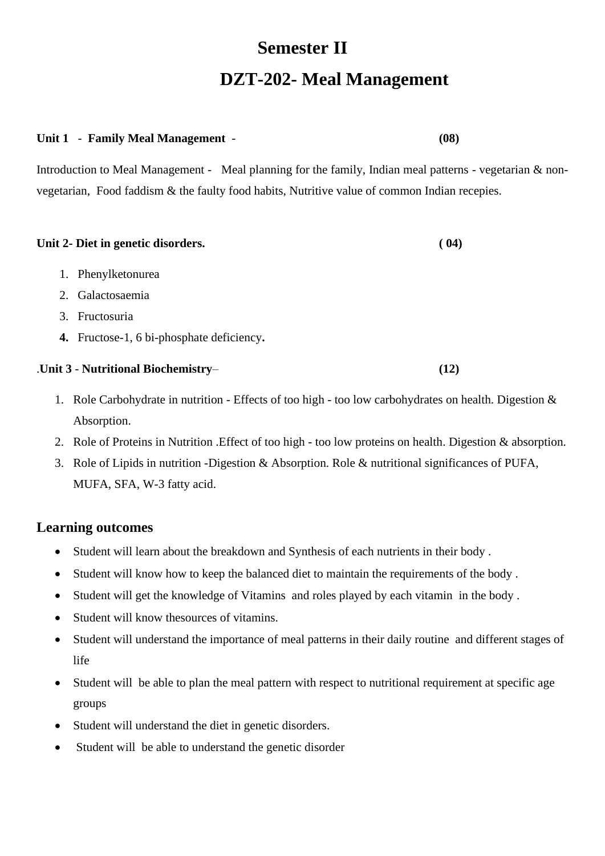# **Semester II DZT-202- Meal Management**

# **Unit 1** - **Family Meal Management** - **(08)**

Introduction to Meal Management - Meal planning for the family, Indian meal patterns - vegetarian & nonvegetarian, Food faddism & the faulty food habits, Nutritive value of common Indian recepies.

# **Unit 2- Diet in genetic disorders. ( 04)** 1. Phenylketonurea

- 2. Galactosaemia
- 3. Fructosuria
- **4.** Fructose-1, 6 bi-phosphate deficiency**.**

# .**Unit 3** - **Nutritional Biochemistry**– **(12)**

- 1. Role Carbohydrate in nutrition Effects of too high too low carbohydrates on health. Digestion & Absorption.
- 2. Role of Proteins in Nutrition .Effect of too high too low proteins on health. Digestion & absorption.
- 3. Role of Lipids in nutrition -Digestion & Absorption. Role & nutritional significances of PUFA, MUFA, SFA, W-3 fatty acid.

# **Learning outcomes**

- Student will learn about the breakdown and Synthesis of each nutrients in their body .
- Student will know how to keep the balanced diet to maintain the requirements of the body .
- Student will get the knowledge of Vitamins and roles played by each vitamin in the body .
- Student will know the sources of vitamins.
- Student will understand the importance of meal patterns in their daily routine and different stages of life
- Student will be able to plan the meal pattern with respect to nutritional requirement at specific age groups
- Student will understand the diet in genetic disorders.
- Student will be able to understand the genetic disorder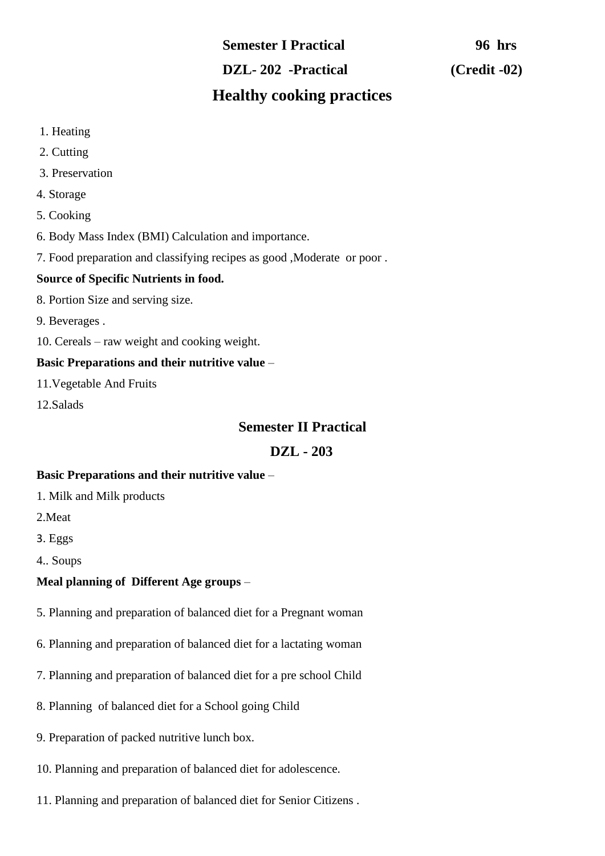# **Semester I Practical 96 hrs DZL- 202 -Practical (Credit -02) Healthy cooking practices**

# 1. Heating

- 2. Cutting
- 3. Preservation
- 4. Storage
- 5. Cooking
- 6. Body Mass Index (BMI) Calculation and importance.
- 7. Food preparation and classifying recipes as good ,Moderate or poor .

# **Source of Specific Nutrients in food.**

- 8. Portion Size and serving size.
- 9. Beverages .
- 10. Cereals raw weight and cooking weight.

# **Basic Preparations and their nutritive value** –

11.Vegetable And Fruits

12.Salads

# **Semester II Practical**

# **DZL - 203**

# **Basic Preparations and their nutritive value** –

- 1. Milk and Milk products
- 2.Meat
- 3. Eggs
- 4.. Soups

# **Meal planning of Different Age groups** –

- 5. Planning and preparation of balanced diet for a Pregnant woman
- 6. Planning and preparation of balanced diet for a lactating woman
- 7. Planning and preparation of balanced diet for a pre school Child
- 8. Planning of balanced diet for a School going Child
- 9. Preparation of packed nutritive lunch box.
- 10. Planning and preparation of balanced diet for adolescence.
- 11. Planning and preparation of balanced diet for Senior Citizens .